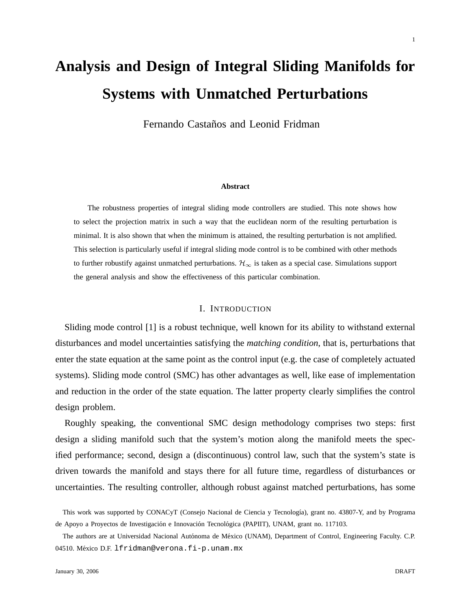# **Analysis and Design of Integral Sliding Manifolds for Systems with Unmatched Perturbations**

Fernando Castaños and Leonid Fridman

#### **Abstract**

The robustness properties of integral sliding mode controllers are studied. This note shows how to select the projection matrix in such a way that the euclidean norm of the resulting perturbation is minimal. It is also shown that when the minimum is attained, the resulting perturbation is not amplified. This selection is particularly useful if integral sliding mode control is to be combined with other methods to further robustify against unmatched perturbations.  $\mathcal{H}_{\infty}$  is taken as a special case. Simulations support the general analysis and show the effectiveness of this particular combination.

## I. INTRODUCTION

Sliding mode control [1] is a robust technique, well known for its ability to withstand external disturbances and model uncertainties satisfying the *matching condition*, that is, perturbations that enter the state equation at the same point as the control input (e.g. the case of completely actuated systems). Sliding mode control (SMC) has other advantages as well, like ease of implementation and reduction in the order of the state equation. The latter property clearly simplifies the control design problem.

Roughly speaking, the conventional SMC design methodology comprises two steps: first design a sliding manifold such that the system's motion along the manifold meets the specified performance; second, design a (discontinuous) control law, such that the system's state is driven towards the manifold and stays there for all future time, regardless of disturbances or uncertainties. The resulting controller, although robust against matched perturbations, has some

This work was supported by CONACyT (Consejo Nacional de Ciencia y Tecnología), grant no. 43807-Y, and by Programa de Apoyo a Proyectos de Investigación e Innovación Tecnológica (PAPIIT), UNAM, grant no. 117103.

The authors are at Universidad Nacional Autónoma de México (UNAM), Department of Control, Engineering Faculty. C.P. 04510. México D.F. lfridman@verona.fi-p.unam.mx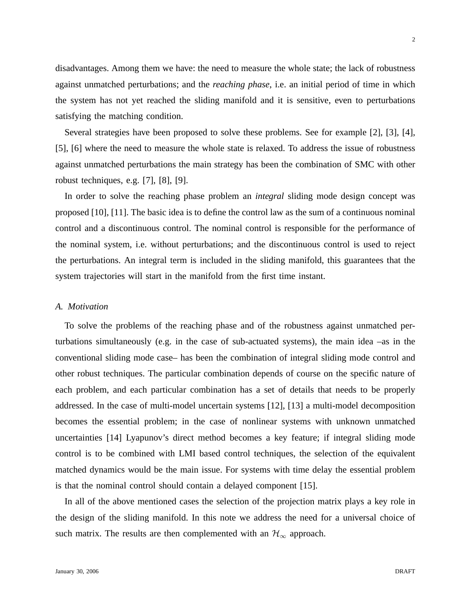disadvantages. Among them we have: the need to measure the whole state; the lack of robustness against unmatched perturbations; and the *reaching phase*, i.e. an initial period of time in which the system has not yet reached the sliding manifold and it is sensitive, even to perturbations satisfying the matching condition.

Several strategies have been proposed to solve these problems. See for example [2], [3], [4], [5], [6] where the need to measure the whole state is relaxed. To address the issue of robustness against unmatched perturbations the main strategy has been the combination of SMC with other robust techniques, e.g. [7], [8], [9].

In order to solve the reaching phase problem an *integral* sliding mode design concept was proposed [10], [11]. The basic idea is to define the control law as the sum of a continuous nominal control and a discontinuous control. The nominal control is responsible for the performance of the nominal system, i.e. without perturbations; and the discontinuous control is used to reject the perturbations. An integral term is included in the sliding manifold, this guarantees that the system trajectories will start in the manifold from the first time instant.

#### *A. Motivation*

To solve the problems of the reaching phase and of the robustness against unmatched perturbations simultaneously (e.g. in the case of sub-actuated systems), the main idea –as in the conventional sliding mode case– has been the combination of integral sliding mode control and other robust techniques. The particular combination depends of course on the specific nature of each problem, and each particular combination has a set of details that needs to be properly addressed. In the case of multi-model uncertain systems [12], [13] a multi-model decomposition becomes the essential problem; in the case of nonlinear systems with unknown unmatched uncertainties [14] Lyapunov's direct method becomes a key feature; if integral sliding mode control is to be combined with LMI based control techniques, the selection of the equivalent matched dynamics would be the main issue. For systems with time delay the essential problem is that the nominal control should contain a delayed component [15].

In all of the above mentioned cases the selection of the projection matrix plays a key role in the design of the sliding manifold. In this note we address the need for a universal choice of such matrix. The results are then complemented with an  $\mathcal{H}_{\infty}$  approach.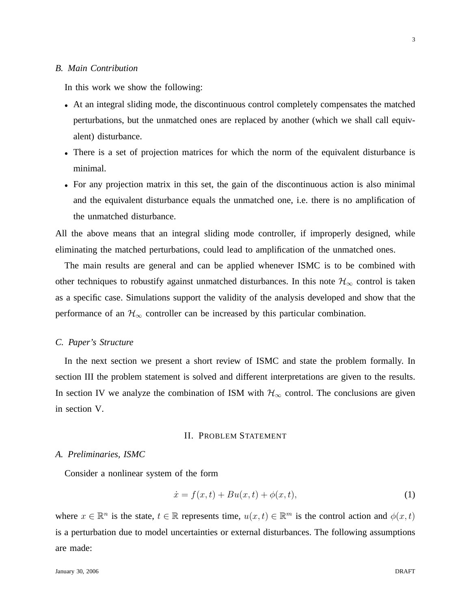## *B. Main Contribution*

In this work we show the following:

- At an integral sliding mode, the discontinuous control completely compensates the matched perturbations, but the unmatched ones are replaced by another (which we shall call equivalent) disturbance.
- There is a set of projection matrices for which the norm of the equivalent disturbance is minimal.
- For any projection matrix in this set, the gain of the discontinuous action is also minimal and the equivalent disturbance equals the unmatched one, i.e. there is no amplification of the unmatched disturbance.

All the above means that an integral sliding mode controller, if improperly designed, while eliminating the matched perturbations, could lead to amplification of the unmatched ones.

The main results are general and can be applied whenever ISMC is to be combined with other techniques to robustify against unmatched disturbances. In this note  $\mathcal{H}_{\infty}$  control is taken as a specific case. Simulations support the validity of the analysis developed and show that the performance of an  $\mathcal{H}_{\infty}$  controller can be increased by this particular combination.

#### *C. Paper's Structure*

In the next section we present a short review of ISMC and state the problem formally. In section III the problem statement is solved and different interpretations are given to the results. In section IV we analyze the combination of ISM with  $H_{\infty}$  control. The conclusions are given in section V.

## II. PROBLEM STATEMENT

#### *A. Preliminaries, ISMC*

Consider a nonlinear system of the form

$$
\dot{x} = f(x, t) + Bu(x, t) + \phi(x, t),
$$
\n(1)

where  $x \in \mathbb{R}^n$  is the state,  $t \in \mathbb{R}$  represents time,  $u(x, t) \in \mathbb{R}^m$  is the control action and  $\phi(x, t)$ is a perturbation due to model uncertainties or external disturbances. The following assumptions are made: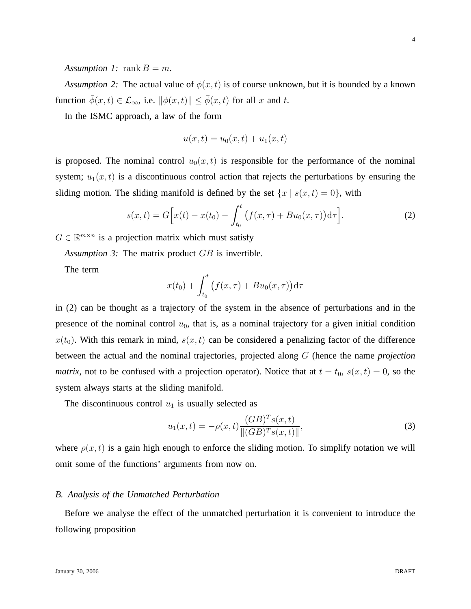*Assumption 1:* rank  $B = m$ .

*Assumption 2:* The actual value of  $\phi(x, t)$  is of course unknown, but it is bounded by a known function  $\bar{\phi}(x, t) \in \mathcal{L}_{\infty}$ , i.e.  $\|\phi(x, t)\| \leq \bar{\phi}(x, t)$  for all x and t.

In the ISMC approach, a law of the form

$$
u(x,t) = u_0(x,t) + u_1(x,t)
$$

is proposed. The nominal control  $u_0(x, t)$  is responsible for the performance of the nominal system;  $u_1(x, t)$  is a discontinuous control action that rejects the perturbations by ensuring the sliding motion. The sliding manifold is defined by the set  $\{x \mid s(x, t) = 0\}$ , with

$$
s(x,t) = G\Big[x(t) - x(t_0) - \int_{t_0}^t \big(f(x,\tau) + Bu_0(x,\tau)\big) d\tau\Big].
$$
 (2)

 $G \in \mathbb{R}^{m \times n}$  is a projection matrix which must satisfy

*Assumption 3:* The matrix product GB is invertible.

The term

$$
x(t_0) + \int_{t_0}^t \big(f(x,\tau) + Bu_0(x,\tau)\big) d\tau
$$

in (2) can be thought as a trajectory of the system in the absence of perturbations and in the presence of the nominal control  $u_0$ , that is, as a nominal trajectory for a given initial condition  $x(t_0)$ . With this remark in mind,  $s(x, t)$  can be considered a penalizing factor of the difference between the actual and the nominal trajectories, projected along G (hence the name *projection matrix*, not to be confused with a projection operator). Notice that at  $t = t_0$ ,  $s(x, t) = 0$ , so the system always starts at the sliding manifold.

The discontinuous control  $u_1$  is usually selected as

$$
u_1(x,t) = -\rho(x,t) \frac{(GB)^T s(x,t)}{\|(GB)^T s(x,t)\|},
$$
\n(3)

where  $\rho(x, t)$  is a gain high enough to enforce the sliding motion. To simplify notation we will omit some of the functions' arguments from now on.

#### *B. Analysis of the Unmatched Perturbation*

Before we analyse the effect of the unmatched perturbation it is convenient to introduce the following proposition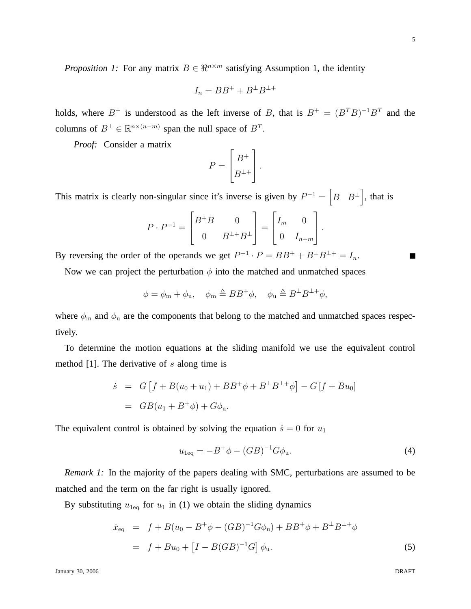January 30, 2006 DRAFT

*Proposition 1:* For any matrix  $B \in \mathbb{R}^{n \times m}$  satisfying Assumption 1, the identity

$$
I_n = BB^+ + B^\perp B^{\perp +}
$$

holds, where  $B^+$  is understood as the left inverse of B, that is  $B^+ = (B^T B)^{-1} B^T$  and the columns of  $B^{\perp} \in \mathbb{R}^{n \times (n-m)}$  span the null space of  $B^T$ .

*Proof:* Consider a matrix

$$
P = \begin{bmatrix} B^+ \\ B^{\perp +} \end{bmatrix}.
$$

This matrix is clearly non-singular since it's inverse is given by  $P^{-1} = \begin{bmatrix} B & B^{\perp} \end{bmatrix}$ , that is

$$
P \cdot P^{-1} = \begin{bmatrix} B^+ B & 0 \\ 0 & B^{\perp +} B^{\perp} \end{bmatrix} = \begin{bmatrix} I_m & 0 \\ 0 & I_{n-m} \end{bmatrix}.
$$

By reversing the order of the operands we get  $P^{-1} \cdot P = BB^+ + B^{\perp}B^{\perp} = I_n$ .

Now we can project the perturbation  $\phi$  into the matched and unmatched spaces

$$
\phi = \phi_{\mathbf{m}} + \phi_{\mathbf{u}}, \quad \phi_{\mathbf{m}} \triangleq BB^{+} \phi, \quad \phi_{\mathbf{u}} \triangleq B^{\perp} B^{\perp +} \phi,
$$

where  $\phi_m$  and  $\phi_u$  are the components that belong to the matched and unmatched spaces respectively.

To determine the motion equations at the sliding manifold we use the equivalent control method  $[1]$ . The derivative of s along time is

$$
\dot{s} = G[f + B(u_0 + u_1) + BB^+ \phi + B^\perp B^{\perp +} \phi] - G[f + Bu_0]
$$
  
=  $GB(u_1 + B^+ \phi) + G\phi_u$ .

The equivalent control is obtained by solving the equation  $\dot{s} = 0$  for  $u_1$ 

$$
u_{1\text{eq}} = -B^{+}\phi - (GB)^{-1}G\phi_{\text{u}}.\tag{4}
$$

*Remark 1:* In the majority of the papers dealing with SMC, perturbations are assumed to be matched and the term on the far right is usually ignored.

By substituting  $u_{1\text{eq}}$  for  $u_1$  in (1) we obtain the sliding dynamics

$$
\dot{x}_{\text{eq}} = f + B(u_0 - B^+ \phi - (GB)^{-1} G \phi_u) + BB^+ \phi + B^{\perp} B^{\perp +} \phi \n= f + Bu_0 + [I - B(GB)^{-1} G] \phi_u.
$$
\n(5)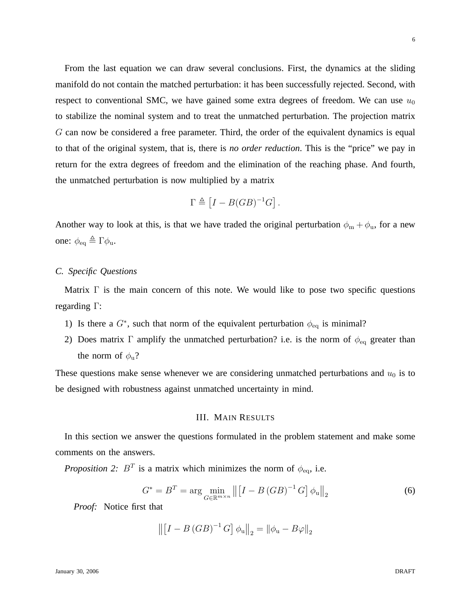From the last equation we can draw several conclusions. First, the dynamics at the sliding manifold do not contain the matched perturbation: it has been successfully rejected. Second, with respect to conventional SMC, we have gained some extra degrees of freedom. We can use  $u_0$ to stabilize the nominal system and to treat the unmatched perturbation. The projection matrix G can now be considered a free parameter. Third, the order of the equivalent dynamics is equal to that of the original system, that is, there is *no order reduction*. This is the "price" we pay in return for the extra degrees of freedom and the elimination of the reaching phase. And fourth, the unmatched perturbation is now multiplied by a matrix

$$
\Gamma \triangleq [I - B(GB)^{-1}G].
$$

Another way to look at this, is that we have traded the original perturbation  $\phi_{m} + \phi_{u}$ , for a new one:  $\phi_{\text{eq}} \triangleq \Gamma \phi_{\text{u}}$ .

## *C. Specific Questions*

Matrix  $\Gamma$  is the main concern of this note. We would like to pose two specific questions regarding Γ:

- 1) Is there a  $G^*$ , such that norm of the equivalent perturbation  $\phi_{\text{eq}}$  is minimal?
- 2) Does matrix Γ amplify the unmatched perturbation? i.e. is the norm of  $\phi_{eq}$  greater than the norm of  $\phi_u$ ?

These questions make sense whenever we are considering unmatched perturbations and  $u_0$  is to be designed with robustness against unmatched uncertainty in mind.

#### III. MAIN RESULTS

In this section we answer the questions formulated in the problem statement and make some comments on the answers.

*Proposition 2:*  $B^T$  is a matrix which minimizes the norm of  $\phi_{\text{eq}}$ , i.e.

$$
G^* = B^T = \arg\min_{G \in \mathbb{R}^{m \times n}} \left\| \left[ I - B \left( GB \right)^{-1} G \right] \phi_u \right\|_2 \tag{6}
$$

*Proof:* Notice first that

$$
\left\| \left[ I - B \left( GB \right)^{-1} G \right] \phi_{\mathrm{u}} \right\|_{2} = \left\| \phi_{\mathrm{u}} - B \varphi \right\|_{2}
$$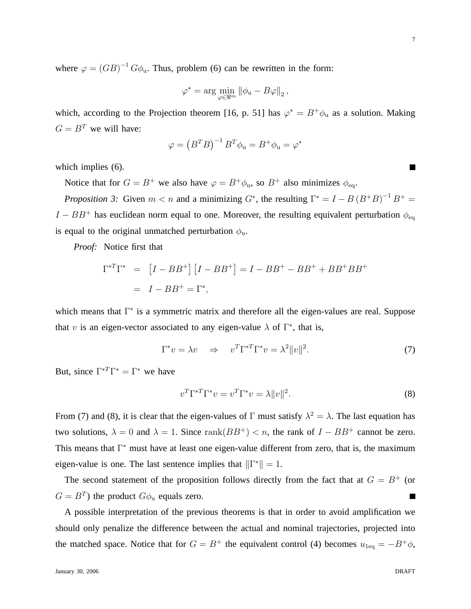where  $\varphi = (GB)^{-1} G \phi_u$ . Thus, problem (6) can be rewritten in the form:

$$
\varphi^* = \arg\min_{\varphi \in \Re^m} \left\| \phi_{\mathbf{u}} - B\varphi \right\|_2,
$$

which, according to the Projection theorem [16, p. 51] has  $\varphi^* = B^+ \phi_u$  as a solution. Making  $G = B<sup>T</sup>$  we will have:

$$
\varphi = (B^T B)^{-1} B^T \phi_u = B^+ \phi_u = \varphi^*
$$

which implies  $(6)$ .

Notice that for  $G = B^+$  we also have  $\varphi = B^+ \phi_{\text{u}}$ , so  $B^+$  also minimizes  $\phi_{\text{eq}}$ .

*Proposition 3:* Given  $m < n$  and a minimizing  $G^*$ , the resulting  $\Gamma^* = I - B(B^+B)^{-1}B^+ = I$  $I - BB^+$  has euclidean norm equal to one. Moreover, the resulting equivalent perturbation  $\phi_{\text{eq}}$ is equal to the original unmatched perturbation  $\phi$ <sub>u</sub>.

*Proof:* Notice first that

$$
\Gamma^{*T}\Gamma^{*} = [I - BB^{+}] [I - BB^{+}] = I - BB^{+} - BB^{+} + BB^{+}BB^{+}
$$

$$
= I - BB^{+} = \Gamma^{*},
$$

which means that Γ<sup>\*</sup> is a symmetric matrix and therefore all the eigen-values are real. Suppose that v is an eigen-vector associated to any eigen-value  $\lambda$  of  $\Gamma^*$ , that is,

$$
\Gamma^* v = \lambda v \quad \Rightarrow \quad v^T \Gamma^{*T} \Gamma^* v = \lambda^2 \|v\|^2. \tag{7}
$$

But, since  $\Gamma^{*T}\Gamma^{*} = \Gamma^{*}$  we have

$$
v^T \Gamma^{*T} \Gamma^* v = v^T \Gamma^* v = \lambda ||v||^2. \tag{8}
$$

From (7) and (8), it is clear that the eigen-values of  $\Gamma$  must satisfy  $\lambda^2 = \lambda$ . The last equation has two solutions,  $\lambda = 0$  and  $\lambda = 1$ . Since rank $(BB^+) < n$ , the rank of  $I - BB^+$  cannot be zero. This means that Γ <sup>∗</sup> must have at least one eigen-value different from zero, that is, the maximum eigen-value is one. The last sentence implies that  $\|\Gamma^*\| = 1$ .

The second statement of the proposition follows directly from the fact that at  $G = B<sup>+</sup>$  (or  $G = B<sup>T</sup>$ ) the product  $G\phi_u$  equals zero.

A possible interpretation of the previous theorems is that in order to avoid amplification we should only penalize the difference between the actual and nominal trajectories, projected into the matched space. Notice that for  $G = B^+$  the equivalent control (4) becomes  $u_{1eq} = -B^+ \phi$ ,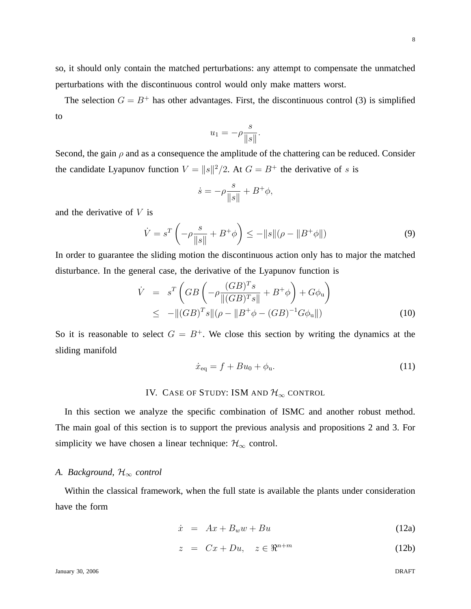so, it should only contain the matched perturbations: any attempt to compensate the unmatched perturbations with the discontinuous control would only make matters worst.

The selection  $G = B^+$  has other advantages. First, the discontinuous control (3) is simplified to

$$
u_1 = -\rho \frac{s}{\|s\|}.
$$

Second, the gain  $\rho$  and as a consequence the amplitude of the chattering can be reduced. Consider the candidate Lyapunov function  $V = ||s||^2/2$ . At  $G = B^+$  the derivative of s is

$$
\dot{s} = -\rho \frac{s}{\|s\|} + B^+ \phi,
$$

and the derivative of  $V$  is

$$
\dot{V} = s^T \left( -\rho \frac{s}{\|s\|} + B^+ \phi \right) \le -\|s\| (\rho - \|B^+ \phi\|)
$$
\n(9)

In order to guarantee the sliding motion the discontinuous action only has to major the matched disturbance. In the general case, the derivative of the Lyapunov function is

$$
\dot{V} = s^T \left( GB \left( -\rho \frac{(GB)^T s}{\|(GB)^T s\|} + B^+ \phi \right) + G \phi_u \right) \leq -\|(GB)^T s\| (\rho - \|B^+ \phi - (GB)^{-1} G \phi_u \|)
$$
\n(10)

So it is reasonable to select  $G = B^+$ . We close this section by writing the dynamics at the sliding manifold

$$
\dot{x}_{\text{eq}} = f + Bu_0 + \phi_u. \tag{11}
$$

## IV. CASE OF STUDY: ISM AND  $\mathcal{H}_{\infty}$  CONTROL

In this section we analyze the specific combination of ISMC and another robust method. The main goal of this section is to support the previous analysis and propositions 2 and 3. For simplicity we have chosen a linear technique:  $\mathcal{H}_{\infty}$  control.

## *A. Background,* H<sup>∞</sup> *control*

Within the classical framework, when the full state is available the plants under consideration have the form

$$
\dot{x} = Ax + B_w w + Bu \tag{12a}
$$

$$
z = Cx + Du, \quad z \in \mathbb{R}^{n+m} \tag{12b}
$$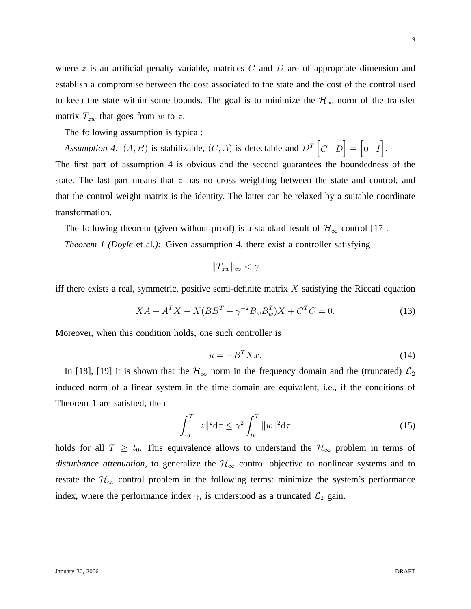where z is an artificial penalty variable, matrices C and D are of appropriate dimension and establish a compromise between the cost associated to the state and the cost of the control used to keep the state within some bounds. The goal is to minimize the  $\mathcal{H}_{\infty}$  norm of the transfer matrix  $T_{zw}$  that goes from w to z.

The following assumption is typical:

Assumption 4:  $(A, B)$  is stabilizable,  $(C, A)$  is detectable and  $D<sup>T</sup>$   $\begin{bmatrix} C & D \end{bmatrix} = \begin{bmatrix} 0 & I \end{bmatrix}$ .

The first part of assumption 4 is obvious and the second guarantees the boundedness of the state. The last part means that  $z$  has no cross weighting between the state and control, and that the control weight matrix is the identity. The latter can be relaxed by a suitable coordinate transformation.

The following theorem (given without proof) is a standard result of  $\mathcal{H}_{\infty}$  control [17]. *Theorem 1 (Doyle* et al.*):* Given assumption 4, there exist a controller satisfying

$$
||T_{zw}||_{\infty} < \gamma
$$

iff there exists a real, symmetric, positive semi-definite matrix  $X$  satisfying the Riccati equation

$$
XA + A^T X - X(BB^T - \gamma^{-2} B_w B_w^T)X + C^T C = 0.
$$
\n(13)

Moreover, when this condition holds, one such controller is

$$
u = -B^T X x. \tag{14}
$$

In [18], [19] it is shown that the  $\mathcal{H}_{\infty}$  norm in the frequency domain and the (truncated)  $\mathcal{L}_2$ induced norm of a linear system in the time domain are equivalent, i.e., if the conditions of Theorem 1 are satisfied, then

$$
\int_{t_0}^{T} \|z\|^2 d\tau \le \gamma^2 \int_{t_0}^{T} \|w\|^2 d\tau \tag{15}
$$

holds for all  $T \geq t_0$ . This equivalence allows to understand the  $\mathcal{H}_{\infty}$  problem in terms of *disturbance attenuation*, to generalize the  $H_{\infty}$  control objective to nonlinear systems and to restate the  $\mathcal{H}_{\infty}$  control problem in the following terms: minimize the system's performance index, where the performance index  $\gamma$ , is understood as a truncated  $\mathcal{L}_2$  gain.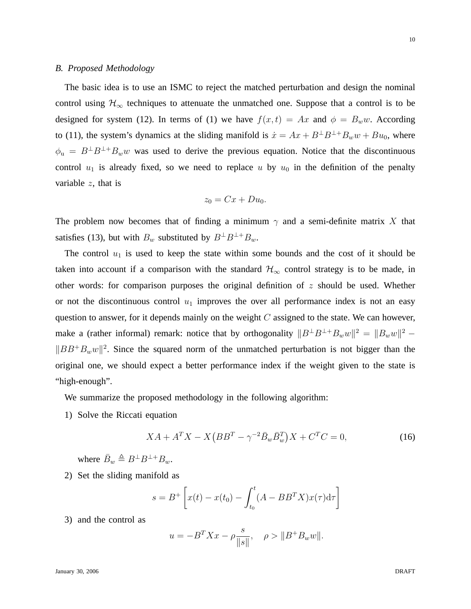#### *B. Proposed Methodology*

The basic idea is to use an ISMC to reject the matched perturbation and design the nominal control using  $H_{\infty}$  techniques to attenuate the unmatched one. Suppose that a control is to be designed for system (12). In terms of (1) we have  $f(x,t) = Ax$  and  $\phi = B_w w$ . According to (11), the system's dynamics at the sliding manifold is  $\dot{x} = Ax + B^{\perp}B^{\perp} + B_ww + Bu_0$ , where  $\phi_u = B^{\perp}B^{\perp} + B_w w$  was used to derive the previous equation. Notice that the discontinuous control  $u_1$  is already fixed, so we need to replace u by  $u_0$  in the definition of the penalty variable  $z$ , that is

$$
z_0 = Cx + Du_0.
$$

The problem now becomes that of finding a minimum  $\gamma$  and a semi-definite matrix X that satisfies (13), but with  $B_w$  substituted by  $B^{\perp}B^{\perp}+B_w$ .

The control  $u_1$  is used to keep the state within some bounds and the cost of it should be taken into account if a comparison with the standard  $\mathcal{H}_{\infty}$  control strategy is to be made, in other words: for comparison purposes the original definition of  $z$  should be used. Whether or not the discontinuous control  $u_1$  improves the over all performance index is not an easy question to answer, for it depends mainly on the weight  $C$  assigned to the state. We can however, make a (rather informal) remark: notice that by orthogonality  $||B^{\perp}B^{\perp}+B_ww||^2 = ||B_ww||^2 ||BB^+B_ww||^2$ . Since the squared norm of the unmatched perturbation is not bigger than the original one, we should expect a better performance index if the weight given to the state is "high-enough".

We summarize the proposed methodology in the following algorithm:

1) Solve the Riccati equation

$$
XA + A^T X - X \left( B B^T - \gamma^{-2} \bar{B}_w \bar{B}_w^T \right) X + C^T C = 0,
$$
\n(16)

where  $\bar{B}_w \triangleq B^{\perp}B^{\perp+}B_w$ .

2) Set the sliding manifold as

$$
s = B^{+} \left[ x(t) - x(t_0) - \int_{t_0}^{t} (A - BB^{T} X) x(\tau) d\tau \right]
$$

3) and the control as

$$
u = -B^T X x - \rho \frac{s}{\|s\|}, \quad \rho > \|B^+ B_w w\|.
$$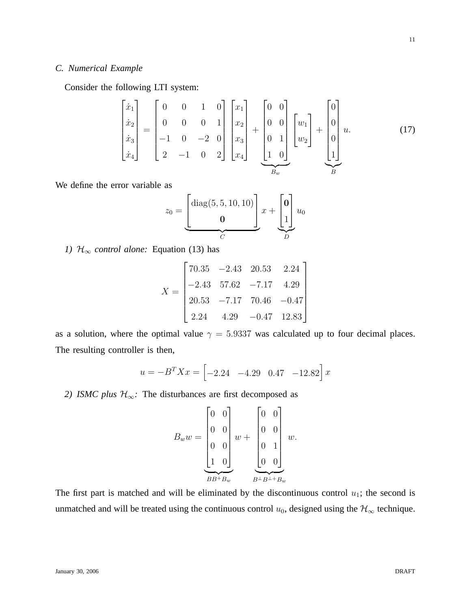## *C. Numerical Example*

Consider the following LTI system:

$$
\begin{bmatrix} \dot{x}_1 \\ \dot{x}_2 \\ \dot{x}_3 \\ \dot{x}_4 \end{bmatrix} = \begin{bmatrix} 0 & 0 & 1 & 0 \\ 0 & 0 & 0 & 1 \\ -1 & 0 & -2 & 0 \\ 2 & -1 & 0 & 2 \end{bmatrix} \begin{bmatrix} x_1 \\ x_2 \\ x_3 \\ x_4 \end{bmatrix} + \begin{bmatrix} 0 & 0 \\ 0 & 0 \\ 0 & 1 \\ 1 & 0 \end{bmatrix} \begin{bmatrix} w_1 \\ w_2 \end{bmatrix} + \begin{bmatrix} 0 \\ 0 \\ 0 \\ 1 \end{bmatrix} u.
$$
 (17)

We define the error variable as

$$
z_0 = \underbrace{\begin{bmatrix} \text{diag}(5,5,10,10) \\ \mathbf{0} \end{bmatrix}}_{C} x + \underbrace{\begin{bmatrix} \mathbf{0} \\ 1 \end{bmatrix}}_{D} u_0
$$

*1)*  $H_{\infty}$  *control alone:* Equation (13) has

$$
X = \begin{bmatrix} 70.35 & -2.43 & 20.53 & 2.24 \\ -2.43 & 57.62 & -7.17 & 4.29 \\ 20.53 & -7.17 & 70.46 & -0.47 \\ 2.24 & 4.29 & -0.47 & 12.83 \end{bmatrix}
$$

as a solution, where the optimal value  $\gamma = 5.9337$  was calculated up to four decimal places. The resulting controller is then,

$$
u = -B^T X x = \begin{bmatrix} -2.24 & -4.29 & 0.47 & -12.82 \end{bmatrix} x
$$

*2) ISMC plus*  $H_{\infty}$ : The disturbances are first decomposed as

$$
B_w w = \begin{bmatrix} 0 & 0 \\ 0 & 0 \\ 0 & 0 \\ 1 & 0 \end{bmatrix} w + \begin{bmatrix} 0 & 0 \\ 0 & 0 \\ 0 & 1 \\ 0 & 0 \end{bmatrix} w.
$$

$$
BB^+ B_w \qquad B^{\perp} B^{\perp +} B_w
$$

The first part is matched and will be eliminated by the discontinuous control  $u_1$ ; the second is unmatched and will be treated using the continuous control  $u_0$ , designed using the  $\mathcal{H}_{\infty}$  technique.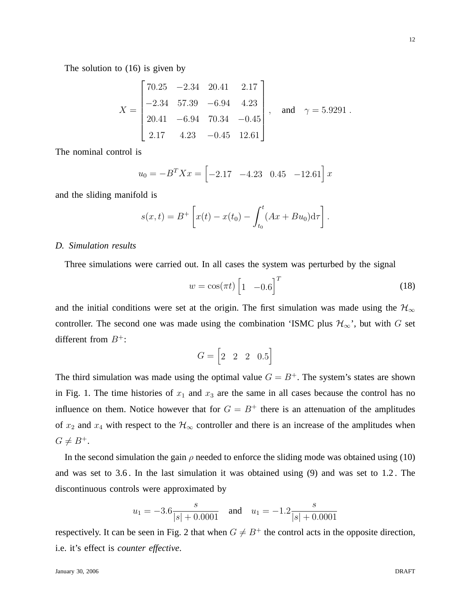The solution to (16) is given by

$$
X = \begin{bmatrix} 70.25 & -2.34 & 20.41 & 2.17 \\ -2.34 & 57.39 & -6.94 & 4.23 \\ 20.41 & -6.94 & 70.34 & -0.45 \\ 2.17 & 4.23 & -0.45 & 12.61 \end{bmatrix}, \text{ and } \gamma = 5.9291.
$$

The nominal control is

$$
u_0 = -B^T X x = \begin{bmatrix} -2.17 & -4.23 & 0.45 & -12.61 \end{bmatrix} x
$$

and the sliding manifold is

$$
s(x,t) = B^{+} \left[ x(t) - x(t_0) - \int_{t_0}^{t} (Ax + Bu_0) d\tau \right].
$$

## *D. Simulation results*

Three simulations were carried out. In all cases the system was perturbed by the signal

$$
w = \cos(\pi t) \begin{bmatrix} 1 & -0.6 \end{bmatrix}^T \tag{18}
$$

and the initial conditions were set at the origin. The first simulation was made using the  $\mathcal{H}_{\infty}$ controller. The second one was made using the combination 'ISMC plus  $\mathcal{H}_{\infty}$ ', but with G set different from  $B^+$ :

$$
G = \begin{bmatrix} 2 & 2 & 2 & 0.5 \end{bmatrix}
$$

The third simulation was made using the optimal value  $G = B<sup>+</sup>$ . The system's states are shown in Fig. 1. The time histories of  $x_1$  and  $x_3$  are the same in all cases because the control has no influence on them. Notice however that for  $G = B<sup>+</sup>$  there is an attenuation of the amplitudes of  $x_2$  and  $x_4$  with respect to the  $\mathcal{H}_{\infty}$  controller and there is an increase of the amplitudes when  $G \neq B^+$ .

In the second simulation the gain  $\rho$  needed to enforce the sliding mode was obtained using (10) and was set to 3.6 . In the last simulation it was obtained using (9) and was set to 1.2 . The discontinuous controls were approximated by

$$
u_1 = -3.6 \frac{s}{|s| + 0.0001}
$$
 and  $u_1 = -1.2 \frac{s}{|s| + 0.0001}$ 

respectively. It can be seen in Fig. 2 that when  $G \neq B^+$  the control acts in the opposite direction, i.e. it's effect is *counter effective*.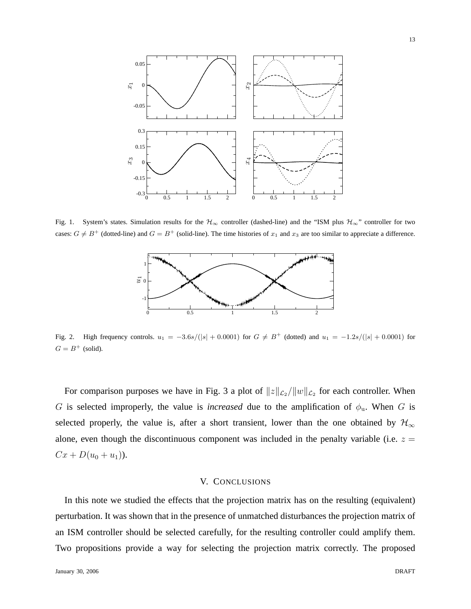

Fig. 1. System's states. Simulation results for the  $H_{\infty}$  controller (dashed-line) and the "ISM plus  $H_{\infty}$ " controller for two cases:  $G \neq B^+$  (dotted-line) and  $G = B^+$  (solid-line). The time histories of  $x_1$  and  $x_3$  are too similar to appreciate a difference.



Fig. 2. High frequency controls.  $u_1 = -3.6s/(|s| + 0.0001)$  for  $G \neq B^+$  (dotted) and  $u_1 = -1.2s/(|s| + 0.0001)$  for  $G = B^+$  (solid).

For comparison purposes we have in Fig. 3 a plot of  $||z||_{\mathcal{L}_2}/||w||_{\mathcal{L}_2}$  for each controller. When G is selected improperly, the value is *increased* due to the amplification of  $\phi_u$ . When G is selected properly, the value is, after a short transient, lower than the one obtained by  $\mathcal{H}_{\infty}$ alone, even though the discontinuous component was included in the penalty variable (i.e.  $z =$  $Cx + D(u_0 + u_1)$ .

## V. CONCLUSIONS

In this note we studied the effects that the projection matrix has on the resulting (equivalent) perturbation. It was shown that in the presence of unmatched disturbances the projection matrix of an ISM controller should be selected carefully, for the resulting controller could amplify them. Two propositions provide a way for selecting the projection matrix correctly. The proposed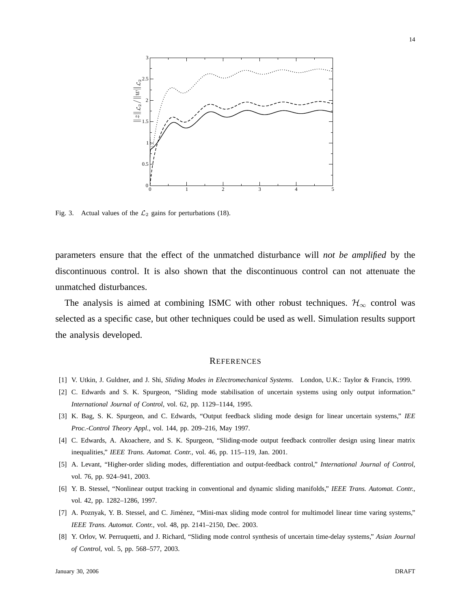

Fig. 3. Actual values of the  $\mathcal{L}_2$  gains for perturbations (18).

parameters ensure that the effect of the unmatched disturbance will *not be amplified* by the discontinuous control. It is also shown that the discontinuous control can not attenuate the unmatched disturbances.

The analysis is aimed at combining ISMC with other robust techniques.  $\mathcal{H}_{\infty}$  control was selected as a specific case, but other techniques could be used as well. Simulation results support the analysis developed.

#### **REFERENCES**

- [1] V. Utkin, J. Guldner, and J. Shi, *Sliding Modes in Electromechanical Systems*. London, U.K.: Taylor & Francis, 1999.
- [2] C. Edwards and S. K. Spurgeon, "Sliding mode stabilisation of uncertain systems using only output information." *International Journal of Control*, vol. 62, pp. 1129–1144, 1995.
- [3] K. Bag, S. K. Spurgeon, and C. Edwards, "Output feedback sliding mode design for linear uncertain systems," *IEE Proc.-Control Theory Appl.*, vol. 144, pp. 209–216, May 1997.
- [4] C. Edwards, A. Akoachere, and S. K. Spurgeon, "Sliding-mode output feedback controller design using linear matrix inequalities," *IEEE Trans. Automat. Contr.*, vol. 46, pp. 115–119, Jan. 2001.
- [5] A. Levant, "Higher-order sliding modes, differentiation and output-feedback control," *International Journal of Control*, vol. 76, pp. 924–941, 2003.
- [6] Y. B. Stessel, "Nonlinear output tracking in conventional and dynamic sliding manifolds," *IEEE Trans. Automat. Contr.*, vol. 42, pp. 1282–1286, 1997.
- [7] A. Poznyak, Y. B. Stessel, and C. Jiménez, "Mini-max sliding mode control for multimodel linear time varing systems," *IEEE Trans. Automat. Contr.*, vol. 48, pp. 2141–2150, Dec. 2003.
- [8] Y. Orlov, W. Perruquetti, and J. Richard, "Sliding mode control synthesis of uncertain time-delay systems," *Asian Journal of Control*, vol. 5, pp. 568–577, 2003.